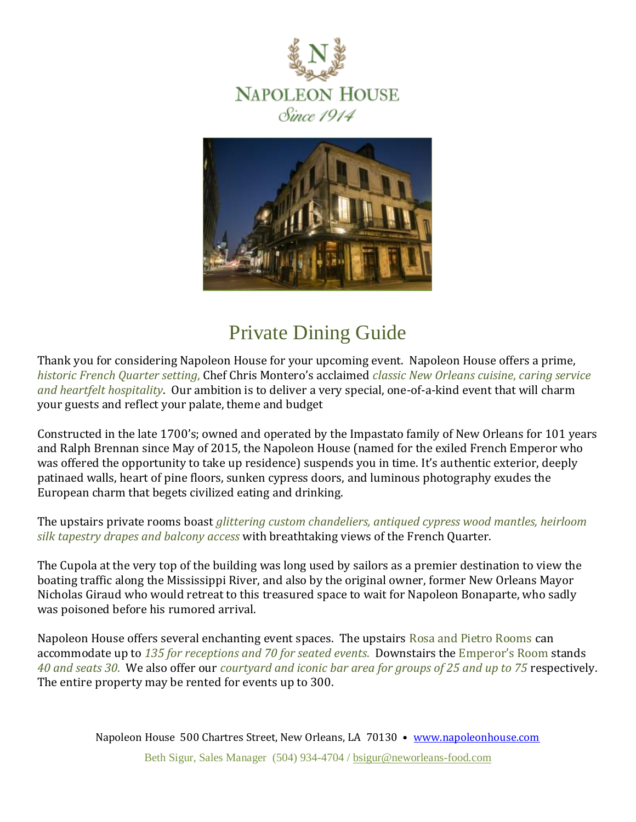



# Private Dining Guide

Thank you for considering Napoleon House for your upcoming event. Napoleon House offers a prime, *historic French Quarter setting*, Chef Chris Montero's acclaimed *classic New Orleans cuisine*, *caring service and heartfelt hospitality*. Our ambition is to deliver a very special, one-of-a-kind event that will charm your guests and reflect your palate, theme and budget

Constructed in the late 1700's; owned and operated by the Impastato family of New Orleans for 101 years and Ralph Brennan since May of 2015, the Napoleon House (named for the exiled French Emperor who was offered the opportunity to take up residence) suspends you in time. It's authentic exterior, deeply patinaed walls, heart of pine floors, sunken cypress doors, and luminous photography exudes the European charm that begets civilized eating and drinking.

The upstairs private rooms boast *glittering custom chandeliers, antiqued cypress wood mantles, heirloom silk tapestry drapes and balcony access* with breathtaking views of the French Quarter.

The Cupola at the very top of the building was long used by sailors as a premier destination to view the boating traffic along the Mississippi River, and also by the original owner, former New Orleans Mayor Nicholas Giraud who would retreat to this treasured space to wait for Napoleon Bonaparte, who sadly was poisoned before his rumored arrival.

Napoleon House offers several enchanting event spaces. The upstairs Rosa and Pietro Rooms can accommodate up to *135 for receptions and 70 for seated events*. Downstairs the Emperor's Room stands *40 and seats 30*. We also offer our *courtyard and iconic bar area for groups of 25 and up to 75* respectively. The entire property may be rented for events up to 300.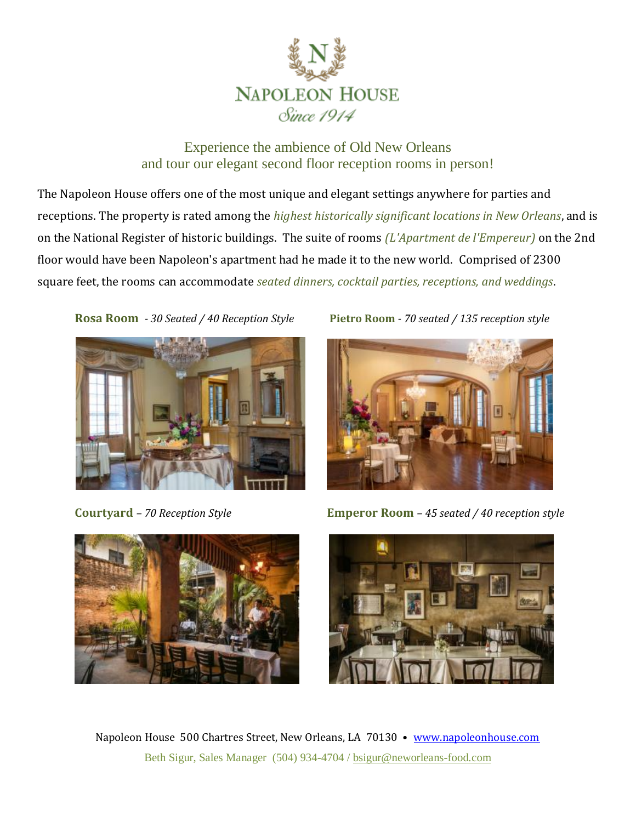

## Experience the ambience of Old New Orleans and tour our elegant second floor reception rooms in person!

The Napoleon House offers one of the most unique and elegant settings anywhere for parties and receptions. The property is rated among the *highest historically significant locations in New Orleans*, and is on the National Register of historic buildings. The suite of rooms *(L'Apartment de l'Empereur)* on the 2nd floor would have been Napoleon's apartment had he made it to the new world. Comprised of 2300 square feet, the rooms can accommodate *seated dinners, cocktail parties, receptions, and weddings*.









**Courtyard** *– 70 Reception Style* **Emperor Room** *– 45 seated / 40 reception style*



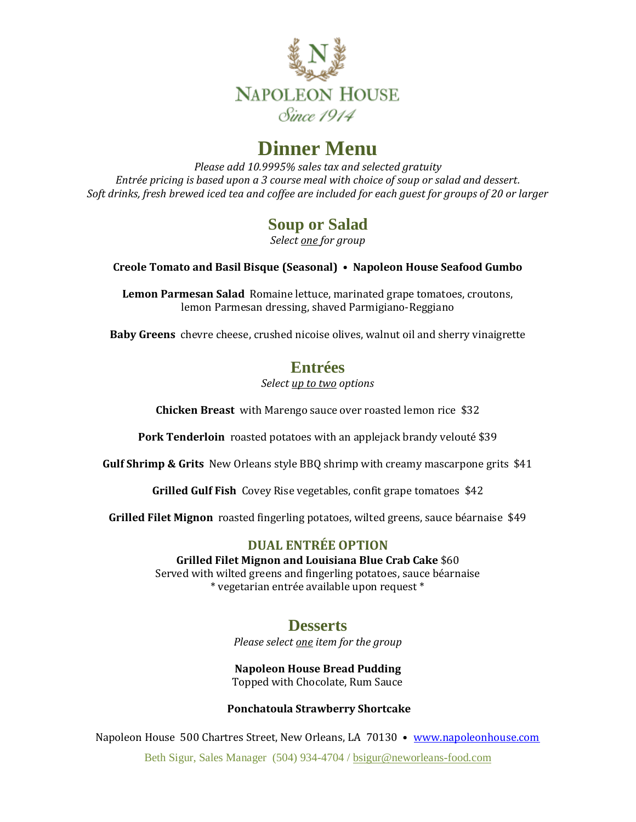

# **Dinner Menu**

*Please add 10.9995% sales tax and selected gratuity Entrée pricing is based upon a 3 course meal with choice of soup or salad and dessert. Soft drinks, fresh brewed iced tea and coffee are included for each guest for groups of 20 or larger*

## **Soup or Salad**

*Select one for group*

#### **Creole Tomato and Basil Bisque (Seasonal) • Napoleon House Seafood Gumbo**

**Lemon Parmesan Salad** Romaine lettuce, marinated grape tomatoes, croutons, lemon Parmesan dressing, shaved Parmigiano-Reggiano

**Baby Greens** chevre cheese, crushed nicoise olives, walnut oil and sherry vinaigrette

## **Entrées**

*Select up to two options*

**Chicken Breast** with Marengo sauce over roasted lemon rice \$32

**Pork Tenderloin** roasted potatoes with an applejack brandy velouté \$39

**Gulf Shrimp & Grits** New Orleans style BBQ shrimp with creamy mascarpone grits \$41

**Grilled Gulf Fish** Covey Rise vegetables, confit grape tomatoes \$42

**Grilled Filet Mignon** roasted fingerling potatoes, wilted greens, sauce béarnaise \$49

### **DUAL ENTRÉE OPTION**

**Grilled Filet Mignon and Louisiana Blue Crab Cake** \$60

Served with wilted greens and fingerling potatoes, sauce béarnaise \* vegetarian entrée available upon request \*

## **Desserts**

*Please select one item for the group*

**Napoleon House Bread Pudding** Topped with Chocolate, Rum Sauce

#### **Ponchatoula Strawberry Shortcake**

Napoleon House 500 Chartres Street, New Orleans, LA 70130 • [www.napoleonhouse.com](http://www.napoleonhouse.com/)

Beth Sigur, Sales Manager (504) 934-4704 [/ bsigur@neworleans-food.com](mailto:bsigur@neworleans-food.com)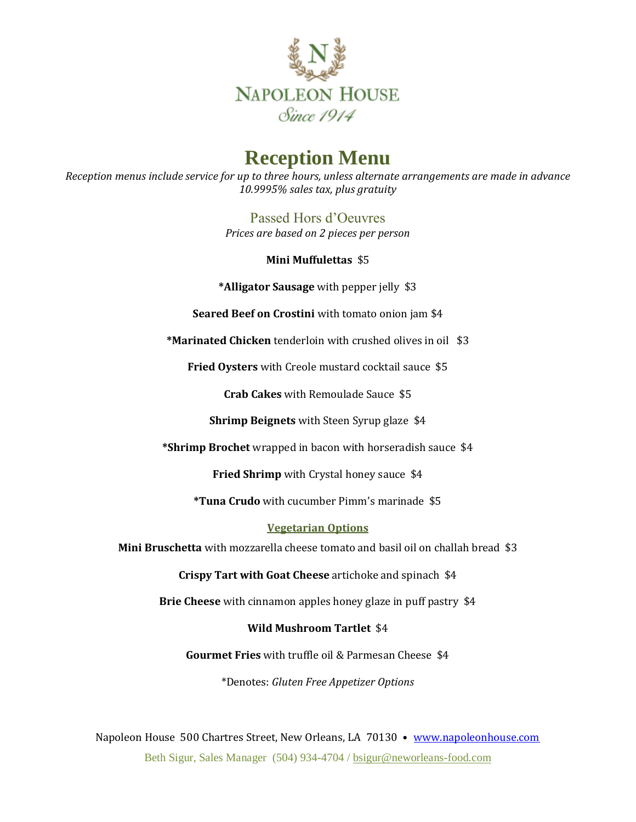

## **Reception Menu**

*Reception menus include service for up to three hours, unless alternate arrangements are made in advance 10.9995% sales tax, plus gratuity* 

> Passed Hors d'Oeuvres *Prices are based on 2 pieces per person*

> > **Mini Muffulettas** \$5

**\*Alligator Sausage** with pepper jelly \$3

**Seared Beef on Crostini** with tomato onion jam \$4

**\*Marinated Chicken** tenderloin with crushed olives in oil \$3

**Fried Oysters** with Creole mustard cocktail sauce \$5

**Crab Cakes** with Remoulade Sauce \$5

**Shrimp Beignets** with Steen Syrup glaze \$4

**\*Shrimp Brochet** wrapped in bacon with horseradish sauce \$4

**Fried Shrimp** with Crystal honey sauce \$4

**\*Tuna Crudo** with cucumber Pimm's marinade \$5

#### **Vegetarian Options**

**Mini Bruschetta** with mozzarella cheese tomato and basil oil on challah bread \$3

**Crispy Tart with Goat Cheese** artichoke and spinach \$4

**Brie Cheese** with cinnamon apples honey glaze in puff pastry \$4

#### **Wild Mushroom Tartlet** \$4

**Gourmet Fries** with truffle oil & Parmesan Cheese \$4

\*Denotes: *Gluten Free Appetizer Options*

Napoleon House 500 Chartres Street, New Orleans, LA 70130 • [www.napoleonhouse.com](http://www.napoleonhouse.com/) Beth Sigur, Sales Manager (504) 934-4704 [/ bsigur@neworleans-food.com](mailto:bsigur@neworleans-food.com)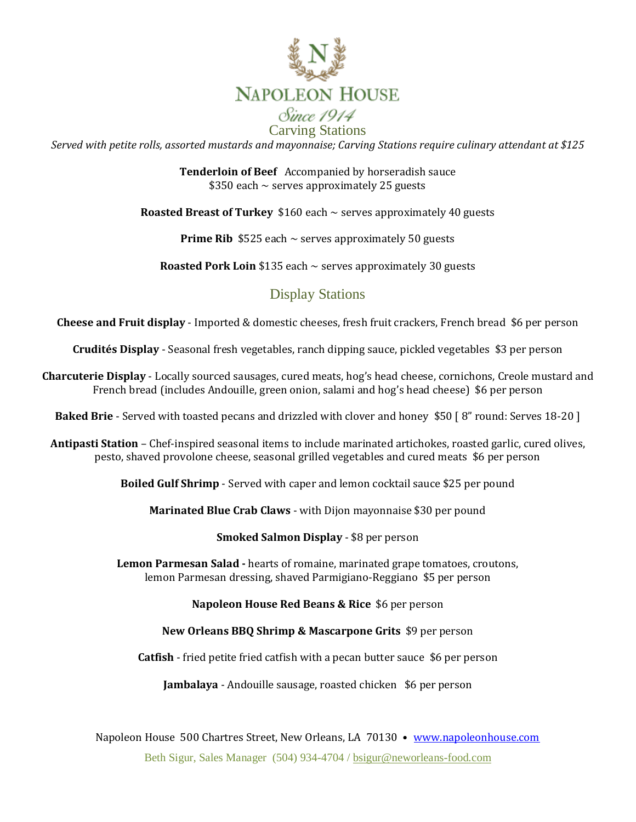

*Served with petite rolls, assorted mustards and mayonnaise; Carving Stations require culinary attendant at \$125*

**Tenderloin of Beef** Accompanied by horseradish sauce  $$350$  each  $\sim$  serves approximately 25 guests

**Roasted Breast of Turkey** \$160 each ~ serves approximately 40 guests

**Prime Rib**  $$525$  each  $\sim$  serves approximately 50 guests

**Roasted Pork Loin** \$135 each ~ serves approximately 30 guests

## Display Stations

**Cheese and Fruit display** - Imported & domestic cheeses, fresh fruit crackers, French bread \$6 per person

**Crudités Display** - Seasonal fresh vegetables, ranch dipping sauce, pickled vegetables \$3 per person

**Charcuterie Display** - Locally sourced sausages, cured meats, hog's head cheese, cornichons, Creole mustard and French bread (includes Andouille, green onion, salami and hog's head cheese) \$6 per person

**Baked Brie** - Served with toasted pecans and drizzled with clover and honey \$50 [ 8" round: Serves 18-20 ]

**Antipasti Station** – Chef-inspired seasonal items to include marinated artichokes, roasted garlic, cured olives, pesto, shaved provolone cheese, seasonal grilled vegetables and cured meats \$6 per person

**Boiled Gulf Shrimp** - Served with caper and lemon cocktail sauce \$25 per pound

**Marinated Blue Crab Claws** - with Dijon mayonnaise \$30 per pound

**Smoked Salmon Display** - \$8 per person

**Lemon Parmesan Salad -** hearts of romaine, marinated grape tomatoes, croutons, lemon Parmesan dressing, shaved Parmigiano-Reggiano \$5 per person

**Napoleon House Red Beans & Rice** \$6 per person

**New Orleans BBQ Shrimp & Mascarpone Grits** \$9 per person

**Catfish** - fried petite fried catfish with a pecan butter sauce \$6 per person

**Jambalaya** - Andouille sausage, roasted chicken \$6 per person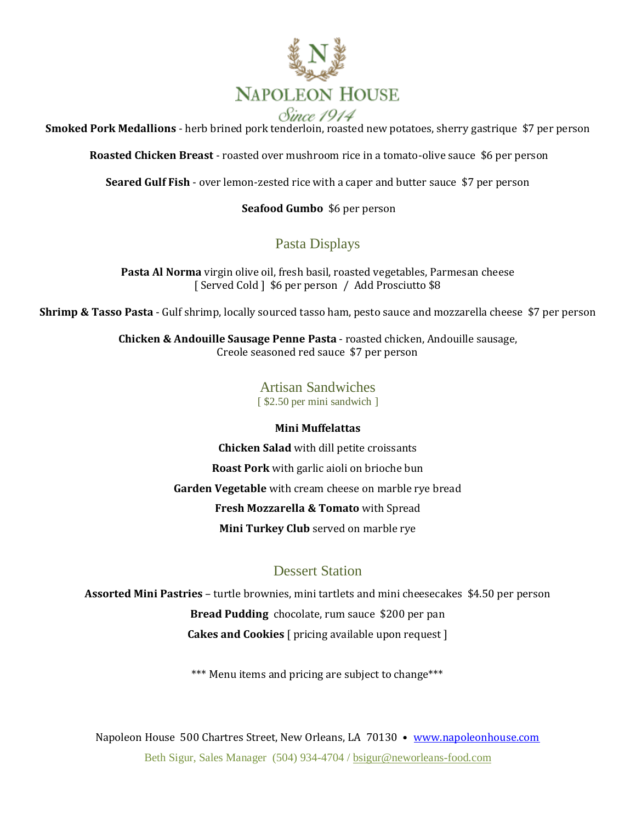

**Smoked Pork Medallions** - herb brined pork tenderloin, roasted new potatoes, sherry gastrique \$7 per person

**Roasted Chicken Breast** - roasted over mushroom rice in a tomato-olive sauce \$6 per person

**Seared Gulf Fish** - over lemon-zested rice with a caper and butter sauce \$7 per person

#### **Seafood Gumbo** \$6 per person

## Pasta Displays

**Pasta Al Norma** virgin olive oil, fresh basil, roasted vegetables, Parmesan cheese [Served Cold ] \$6 per person / Add Prosciutto \$8

**Shrimp & Tasso Pasta** - Gulf shrimp, locally sourced tasso ham, pesto sauce and mozzarella cheese \$7 per person

**Chicken & Andouille Sausage Penne Pasta** - roasted chicken, Andouille sausage, Creole seasoned red sauce \$7 per person

> Artisan Sandwiches [ \$2.50 per mini sandwich ]

#### **Mini Muffelattas**

**Chicken Salad** with dill petite croissants **Roast Pork** with garlic aioli on brioche bun **Garden Vegetable** with cream cheese on marble rye bread **Fresh Mozzarella & Tomato** with Spread **Mini Turkey Club** served on marble rye

## Dessert Station

**Assorted Mini Pastries** – turtle brownies, mini tartlets and mini cheesecakes \$4.50 per person **Bread Pudding** chocolate, rum sauce \$200 per pan **Cakes and Cookies** [ pricing available upon request ]

\*\*\* Menu items and pricing are subject to change\*\*\*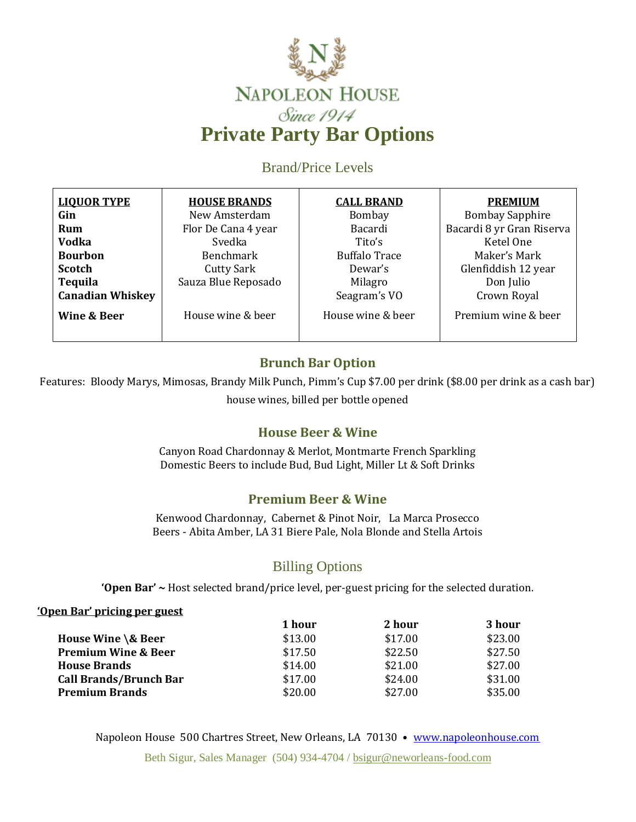

Brand/Price Levels

| <b>LIQUOR TYPE</b>      | <b>HOUSE BRANDS</b> | <b>CALL BRAND</b>    | <b>PREMIUM</b>            |
|-------------------------|---------------------|----------------------|---------------------------|
| Gin                     | New Amsterdam       | Bombay               | <b>Bombay Sapphire</b>    |
| Rum                     | Flor De Cana 4 year | <b>Bacardi</b>       | Bacardi 8 yr Gran Riserva |
| <b>Vodka</b>            | Svedka              | Tito's               | Ketel One                 |
| <b>Bourbon</b>          | Benchmark           | <b>Buffalo Trace</b> | Maker's Mark              |
| <b>Scotch</b>           | <b>Cutty Sark</b>   | Dewar's              | Glenfiddish 12 year       |
| <b>Tequila</b>          | Sauza Blue Reposado | Milagro              | Don Julio                 |
| <b>Canadian Whiskey</b> |                     | Seagram's VO         | Crown Royal               |
| Wine & Beer             | House wine & beer   | House wine & beer    | Premium wine & beer       |
|                         |                     |                      |                           |

## **Brunch Bar Option**

Features: Bloody Marys, Mimosas, Brandy Milk Punch, Pimm's Cup \$7.00 per drink (\$8.00 per drink as a cash bar) house wines, billed per bottle opened

## **House Beer & Wine**

Canyon Road Chardonnay & Merlot, Montmarte French Sparkling Domestic Beers to include Bud, Bud Light, Miller Lt & Soft Drinks

## **Premium Beer & Wine**

Kenwood Chardonnay, Cabernet & Pinot Noir, La Marca Prosecco Beers - Abita Amber, LA 31 Biere Pale, Nola Blonde and Stella Artois

## Billing Options

**'Open Bar' ~** Host selected brand/price level, per-guest pricing for the selected duration.

#### **'Open Bar' pricing per guest**

|                                | 1 hour  | 2 hour  | 3 hour  |
|--------------------------------|---------|---------|---------|
| House Wine \& Beer             | \$13.00 | \$17.00 | \$23.00 |
| <b>Premium Wine &amp; Beer</b> | \$17.50 | \$22.50 | \$27.50 |
| <b>House Brands</b>            | \$14.00 | \$21.00 | \$27.00 |
| <b>Call Brands/Brunch Bar</b>  | \$17.00 | \$24.00 | \$31.00 |
| <b>Premium Brands</b>          | \$20.00 | \$27.00 | \$35.00 |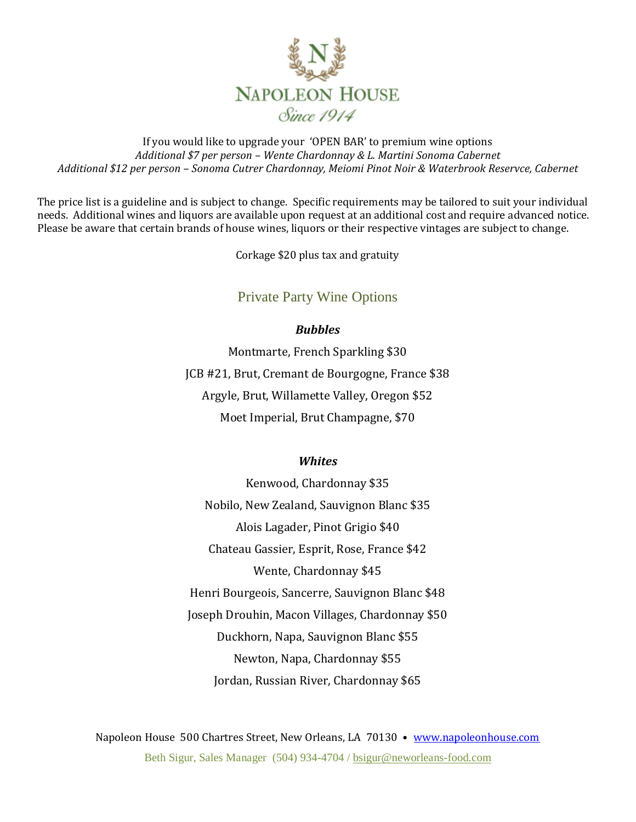

If you would like to upgrade your 'OPEN BAR' to premium wine options *Additional \$7 per person – Wente Chardonnay & L. Martini Sonoma Cabernet Additional \$12 per person – Sonoma Cutrer Chardonnay, Meiomi Pinot Noir & Waterbrook Reservce, Cabernet*

The price list is a guideline and is subject to change. Specific requirements may be tailored to suit your individual needs. Additional wines and liquors are available upon request at an additional cost and require advanced notice. Please be aware that certain brands of house wines, liquors or their respective vintages are subject to change.

Corkage \$20 plus tax and gratuity

### Private Party Wine Options

#### *Bubbles*

Montmarte, French Sparkling \$30 JCB #21, Brut, Cremant de Bourgogne, France \$38 Argyle, Brut, Willamette Valley, Oregon \$52 Moet Imperial, Brut Champagne, \$70

#### *Whites*

Kenwood, Chardonnay \$35 Nobilo, New Zealand, Sauvignon Blanc \$35 Alois Lagader, Pinot Grigio \$40 Chateau Gassier, Esprit, Rose, France \$42 Wente, Chardonnay \$45 Henri Bourgeois, Sancerre, Sauvignon Blanc \$48 Joseph Drouhin, Macon Villages, Chardonnay \$50 Duckhorn, Napa, Sauvignon Blanc \$55 Newton, Napa, Chardonnay \$55 Jordan, Russian River, Chardonnay \$65